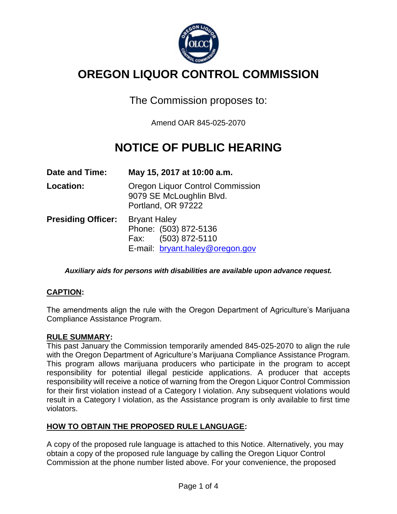

# **OREGON LIQUOR CONTROL COMMISSION**

The Commission proposes to:

Amend OAR 845-025-2070

# **NOTICE OF PUBLIC HEARING**

| Date and Time:            | May 15, 2017 at 10:00 a.m.                                                                                |
|---------------------------|-----------------------------------------------------------------------------------------------------------|
| Location:                 | <b>Oregon Liquor Control Commission</b><br>9079 SE McLoughlin Blvd.<br>Portland, OR 97222                 |
| <b>Presiding Officer:</b> | <b>Bryant Haley</b><br>Phone: (503) 872-5136<br>(503) 872-5110<br>Fax:<br>E-mail: bryant.haley@oregon.gov |

*Auxiliary aids for persons with disabilities are available upon advance request.*

## **CAPTION:**

The amendments align the rule with the Oregon Department of Agriculture's Marijuana Compliance Assistance Program.

### **RULE SUMMARY:**

This past January the Commission temporarily amended 845-025-2070 to align the rule with the Oregon Department of Agriculture's Marijuana Compliance Assistance Program. This program allows marijuana producers who participate in the program to accept responsibility for potential illegal pesticide applications. A producer that accepts responsibility will receive a notice of warning from the Oregon Liquor Control Commission for their first violation instead of a Category I violation. Any subsequent violations would result in a Category I violation, as the Assistance program is only available to first time violators.

## **HOW TO OBTAIN THE PROPOSED RULE LANGUAGE:**

A copy of the proposed rule language is attached to this Notice. Alternatively, you may obtain a copy of the proposed rule language by calling the Oregon Liquor Control Commission at the phone number listed above. For your convenience, the proposed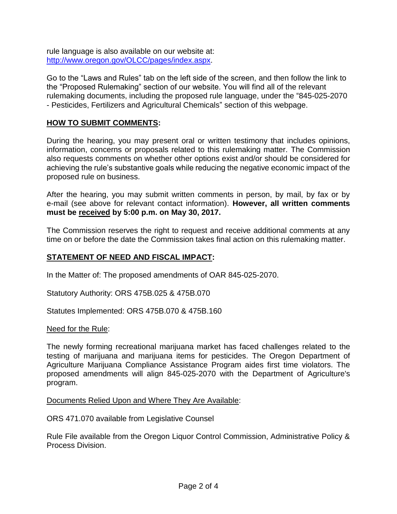rule language is also available on our website at: [http://www.oregon.gov/OLCC/pages/index.aspx.](http://www.oregon.gov/OLCC/pages/index.aspx)

Go to the "Laws and Rules" tab on the left side of the screen, and then follow the link to the "Proposed Rulemaking" section of our website. You will find all of the relevant rulemaking documents, including the proposed rule language, under the "845-025-2070 - Pesticides, Fertilizers and Agricultural Chemicals" section of this webpage.

### **HOW TO SUBMIT COMMENTS:**

During the hearing, you may present oral or written testimony that includes opinions, information, concerns or proposals related to this rulemaking matter. The Commission also requests comments on whether other options exist and/or should be considered for achieving the rule's substantive goals while reducing the negative economic impact of the proposed rule on business.

After the hearing, you may submit written comments in person, by mail, by fax or by e-mail (see above for relevant contact information). **However, all written comments must be received by 5:00 p.m. on May 30, 2017.**

The Commission reserves the right to request and receive additional comments at any time on or before the date the Commission takes final action on this rulemaking matter.

### **STATEMENT OF NEED AND FISCAL IMPACT:**

In the Matter of: The proposed amendments of OAR 845-025-2070.

Statutory Authority: ORS 475B.025 & 475B.070

Statutes Implemented: ORS 475B.070 & 475B.160

Need for the Rule:

The newly forming recreational marijuana market has faced challenges related to the testing of marijuana and marijuana items for pesticides. The Oregon Department of Agriculture Marijuana Compliance Assistance Program aides first time violators. The proposed amendments will align 845-025-2070 with the Department of Agriculture's program.

Documents Relied Upon and Where They Are Available:

ORS 471.070 available from Legislative Counsel

Rule File available from the Oregon Liquor Control Commission, Administrative Policy & Process Division.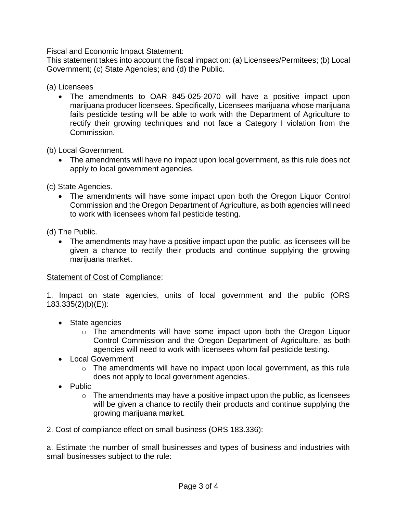Fiscal and Economic Impact Statement:

This statement takes into account the fiscal impact on: (a) Licensees/Permitees; (b) Local Government; (c) State Agencies; and (d) the Public.

(a) Licensees

 The amendments to OAR 845-025-2070 will have a positive impact upon marijuana producer licensees. Specifically, Licensees marijuana whose marijuana fails pesticide testing will be able to work with the Department of Agriculture to rectify their growing techniques and not face a Category I violation from the Commission.

(b) Local Government.

 The amendments will have no impact upon local government, as this rule does not apply to local government agencies.

(c) State Agencies.

 The amendments will have some impact upon both the Oregon Liquor Control Commission and the Oregon Department of Agriculture, as both agencies will need to work with licensees whom fail pesticide testing.

(d) The Public.

 The amendments may have a positive impact upon the public, as licensees will be given a chance to rectify their products and continue supplying the growing marijuana market.

### Statement of Cost of Compliance:

1. Impact on state agencies, units of local government and the public (ORS 183.335(2)(b)(E)):

- State agencies
	- o The amendments will have some impact upon both the Oregon Liquor Control Commission and the Oregon Department of Agriculture, as both agencies will need to work with licensees whom fail pesticide testing.
- Local Government
	- $\circ$  The amendments will have no impact upon local government, as this rule does not apply to local government agencies.
- Public
	- $\circ$  The amendments may have a positive impact upon the public, as licensees will be given a chance to rectify their products and continue supplying the growing marijuana market.

2. Cost of compliance effect on small business (ORS 183.336):

a. Estimate the number of small businesses and types of business and industries with small businesses subject to the rule: